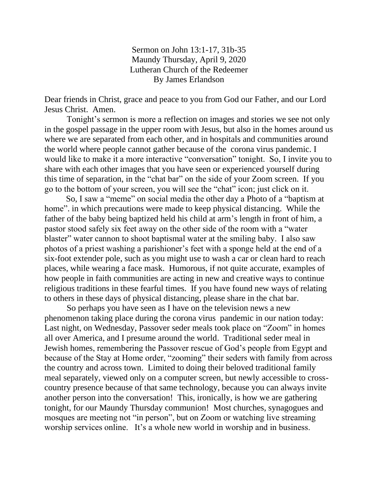Sermon on John 13:1-17, 31b-35 Maundy Thursday, April 9, 2020 Lutheran Church of the Redeemer By James Erlandson

Dear friends in Christ, grace and peace to you from God our Father, and our Lord Jesus Christ. Amen.

Tonight's sermon is more a reflection on images and stories we see not only in the gospel passage in the upper room with Jesus, but also in the homes around us where we are separated from each other, and in hospitals and communities around the world where people cannot gather because of the corona virus pandemic. I would like to make it a more interactive "conversation" tonight. So, I invite you to share with each other images that you have seen or experienced yourself during this time of separation, in the "chat bar" on the side of your Zoom screen. If you go to the bottom of your screen, you will see the "chat" icon; just click on it.

 So, I saw a "meme" on social media the other day a Photo of a "baptism at home", in which precautions were made to keep physical distancing. While the father of the baby being baptized held his child at arm's length in front of him, a pastor stood safely six feet away on the other side of the room with a "water blaster" water cannon to shoot baptismal water at the smiling baby. I also saw photos of a priest washing a parishioner's feet with a sponge held at the end of a six-foot extender pole, such as you might use to wash a car or clean hard to reach places, while wearing a face mask. Humorous, if not quite accurate, examples of how people in faith communities are acting in new and creative ways to continue religious traditions in these fearful times. If you have found new ways of relating to others in these days of physical distancing, please share in the chat bar.

So perhaps you have seen as I have on the television news a new phenomenon taking place during the corona virus pandemic in our nation today: Last night, on Wednesday, Passover seder meals took place on "Zoom" in homes all over America, and I presume around the world. Traditional seder meal in Jewish homes, remembering the Passover rescue of God's people from Egypt and because of the Stay at Home order, "zooming" their seders with family from across the country and across town. Limited to doing their beloved traditional family meal separately, viewed only on a computer screen, but newly accessible to crosscountry presence because of that same technology, because you can always invite another person into the conversation! This, ironically, is how we are gathering tonight, for our Maundy Thursday communion! Most churches, synagogues and mosques are meeting not "in person", but on Zoom or watching live streaming worship services online. It's a whole new world in worship and in business.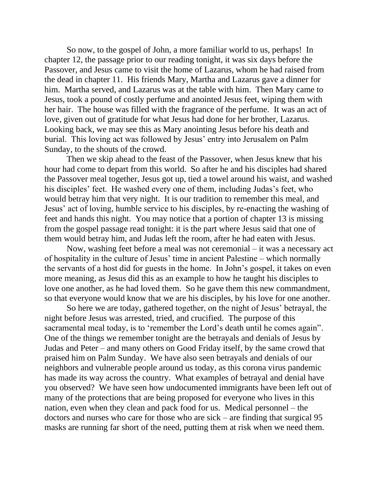So now, to the gospel of John, a more familiar world to us, perhaps! In chapter 12, the passage prior to our reading tonight, it was six days before the Passover, and Jesus came to visit the home of Lazarus, whom he had raised from the dead in chapter 11. His friends Mary, Martha and Lazarus gave a dinner for him. Martha served, and Lazarus was at the table with him. Then Mary came to Jesus, took a pound of costly perfume and anointed Jesus feet, wiping them with her hair. The house was filled with the fragrance of the perfume. It was an act of love, given out of gratitude for what Jesus had done for her brother, Lazarus. Looking back, we may see this as Mary anointing Jesus before his death and burial. This loving act was followed by Jesus' entry into Jerusalem on Palm Sunday, to the shouts of the crowd.

Then we skip ahead to the feast of the Passover, when Jesus knew that his hour had come to depart from this world. So after he and his disciples had shared the Passover meal together, Jesus got up, tied a towel around his waist, and washed his disciples' feet. He washed every one of them, including Judas's feet, who would betray him that very night. It is our tradition to remember this meal, and Jesus' act of loving, humble service to his disciples, by re-enacting the washing of feet and hands this night. You may notice that a portion of chapter 13 is missing from the gospel passage read tonight: it is the part where Jesus said that one of them would betray him, and Judas left the room, after he had eaten with Jesus.

Now, washing feet before a meal was not ceremonial – it was a necessary act of hospitality in the culture of Jesus' time in ancient Palestine – which normally the servants of a host did for guests in the home. In John's gospel, it takes on even more meaning, as Jesus did this as an example to how he taught his disciples to love one another, as he had loved them. So he gave them this new commandment, so that everyone would know that we are his disciples, by his love for one another.

So here we are today, gathered together, on the night of Jesus' betrayal, the night before Jesus was arrested, tried, and crucified. The purpose of this sacramental meal today, is to 'remember the Lord's death until he comes again". One of the things we remember tonight are the betrayals and denials of Jesus by Judas and Peter – and many others on Good Friday itself, by the same crowd that praised him on Palm Sunday. We have also seen betrayals and denials of our neighbors and vulnerable people around us today, as this corona virus pandemic has made its way across the country. What examples of betrayal and denial have you observed? We have seen how undocumented immigrants have been left out of many of the protections that are being proposed for everyone who lives in this nation, even when they clean and pack food for us. Medical personnel – the doctors and nurses who care for those who are sick – are finding that surgical 95 masks are running far short of the need, putting them at risk when we need them.